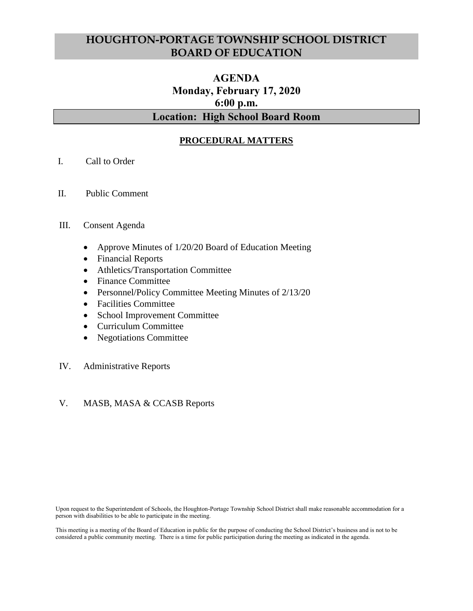# **HOUGHTON-PORTAGE TOWNSHIP SCHOOL DISTRICT BOARD OF EDUCATION**

# **AGENDA Monday, February 17, 2020 6:00 p.m. Location: High School Board Room**

### **PROCEDURAL MATTERS**

- I. Call to Order
- II. Public Comment

#### III. Consent Agenda

- Approve Minutes of 1/20/20 Board of Education Meeting
- Financial Reports
- Athletics/Transportation Committee
- Finance Committee
- Personnel/Policy Committee Meeting Minutes of 2/13/20
- Facilities Committee
- School Improvement Committee
- Curriculum Committee
- Negotiations Committee
- IV. Administrative Reports

### V. MASB, MASA & CCASB Reports

Upon request to the Superintendent of Schools, the Houghton-Portage Township School District shall make reasonable accommodation for a person with disabilities to be able to participate in the meeting.

This meeting is a meeting of the Board of Education in public for the purpose of conducting the School District's business and is not to be considered a public community meeting. There is a time for public participation during the meeting as indicated in the agenda.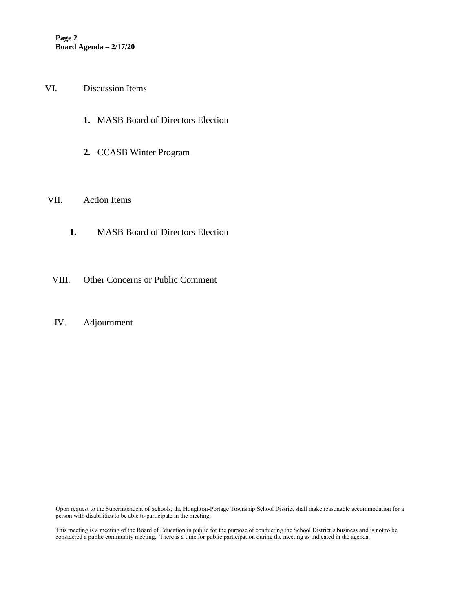- VI. Discussion Items
	- **1.** MASB Board of Directors Election
	- **2.** CCASB Winter Program
- VII. Action Items
	- **1.** MASB Board of Directors Election
- VIII. Other Concerns or Public Comment
- IV. Adjournment

Upon request to the Superintendent of Schools, the Houghton-Portage Township School District shall make reasonable accommodation for a person with disabilities to be able to participate in the meeting.

This meeting is a meeting of the Board of Education in public for the purpose of conducting the School District's business and is not to be considered a public community meeting. There is a time for public participation during the meeting as indicated in the agenda.